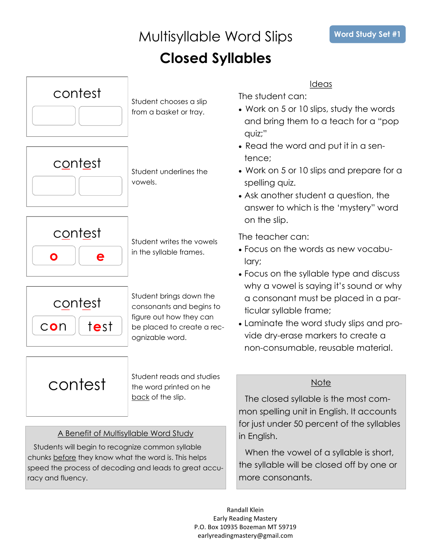

### Students will begin to recognize common syllable chunks before they know what the word is. This helps speed the process of decoding and leads to great accuracy and fluency.

Ideas

The student can:

- Work on 5 or 10 slips, study the words and bring them to a teach for a "pop
- Read the word and put it in a sen-
- Work on 5 or 10 slips and prepare for a spelling quiz.
- Ask another student a question, the answer to which is the 'mystery" word on the slip.

The teacher can:

- Focus on the words as new vocabu-
- Focus on the syllable type and discuss why a vowel is saying it's sound or why a consonant must be placed in a particular syllable frame;
- Laminate the word study slips and provide dry-erase markers to create a non-consumable, reusable material.

### **Note**

The closed syllable is the most common spelling unit in English. It accounts for just under 50 percent of the syllables in English.

When the vowel of a syllable is short, the syllable will be closed off by one or more consonants.

Randall Klein Early Reading Mastery P.O. Box 10935 Bozeman MT 59719 earlyreadingmastery@gmail.com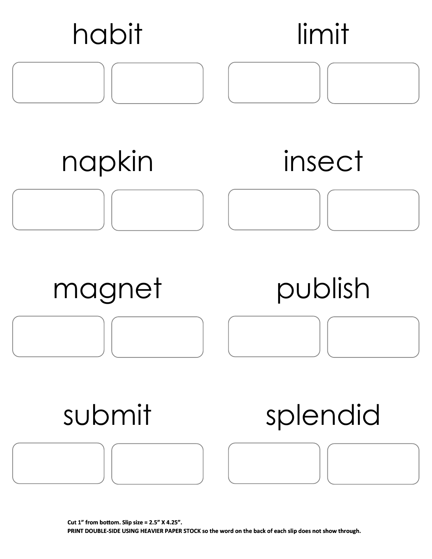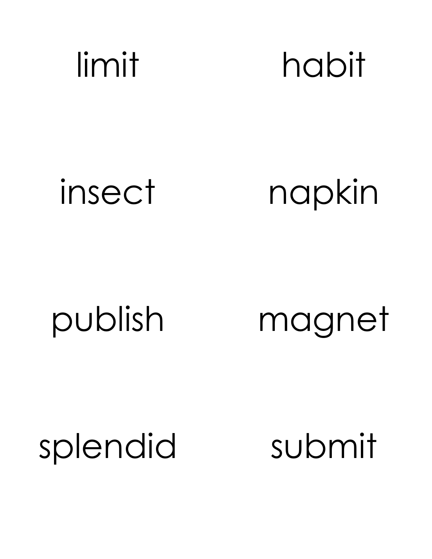# limit habit

### insect napkin

publish magnet

splendid submit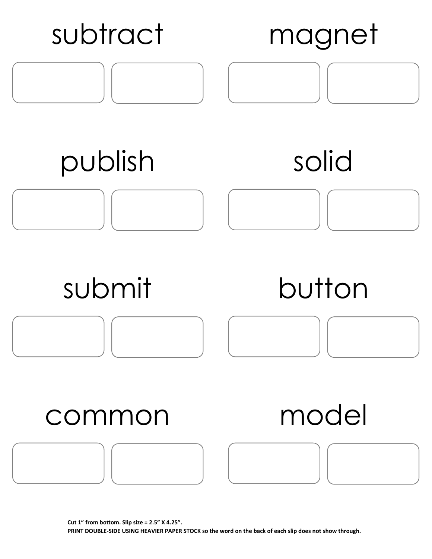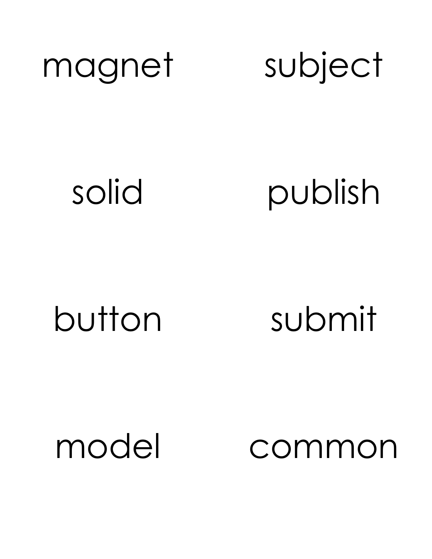

solid publish

button submit

model common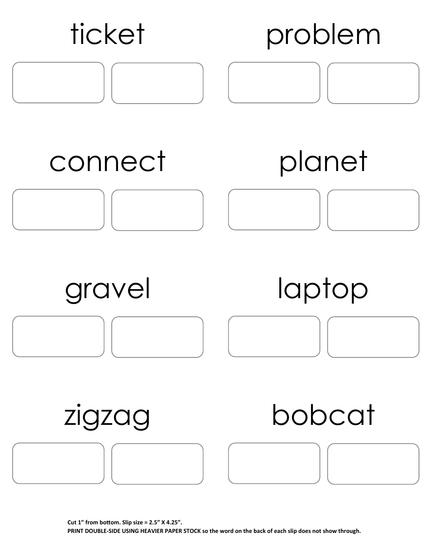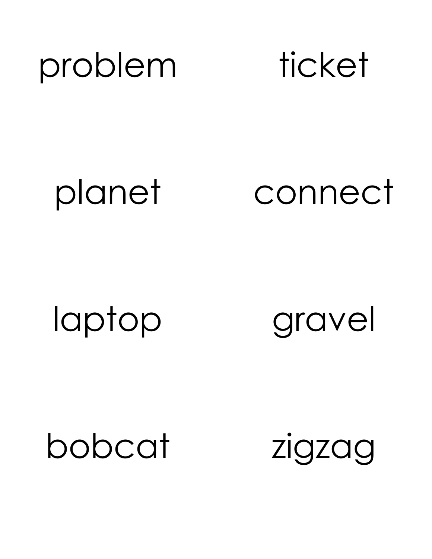

planet connect

laptop gravel

bobcat zigzag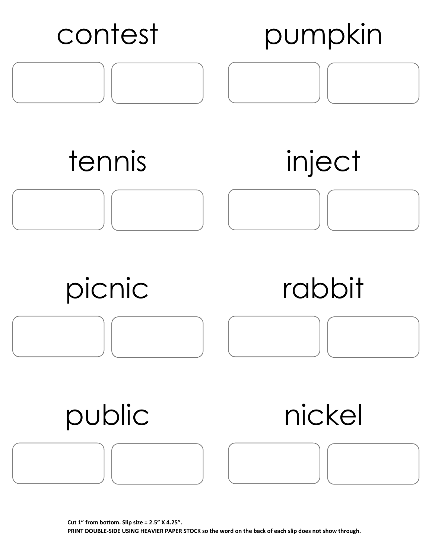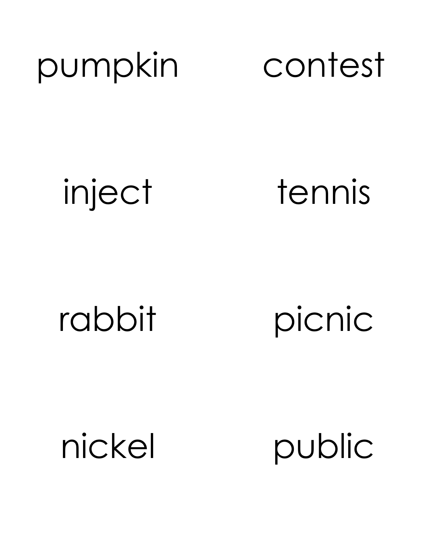# pumpkin contest

inject tennis

rabbit picnic

nickel public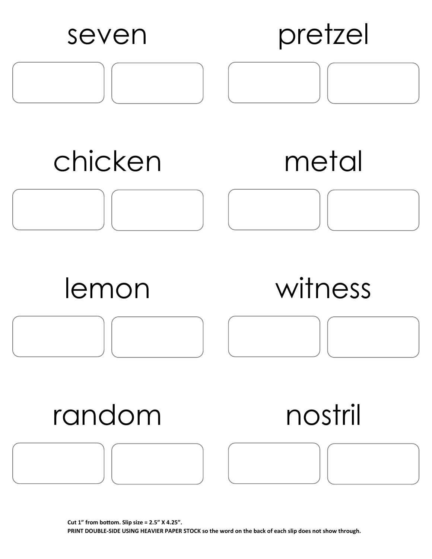![](_page_9_Figure_0.jpeg)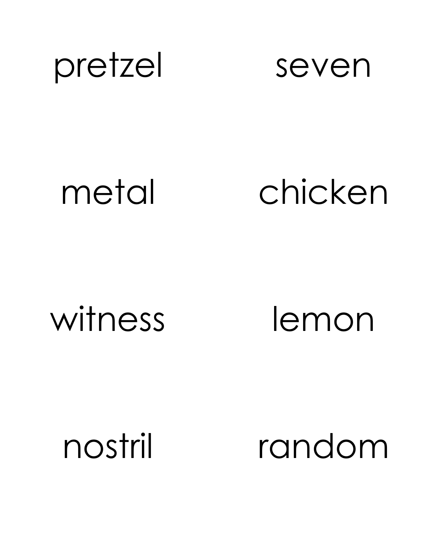![](_page_10_Picture_0.jpeg)

### metal chicken

witness lemon

nostril random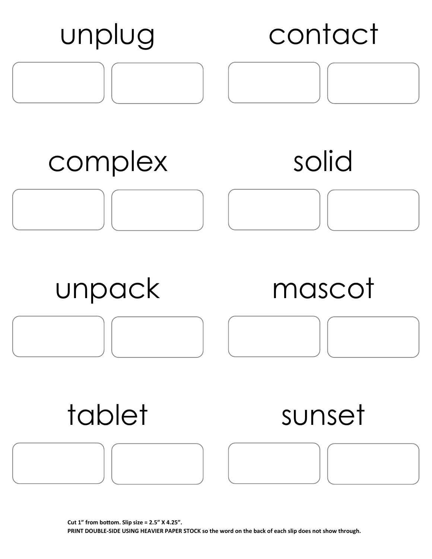![](_page_11_Figure_0.jpeg)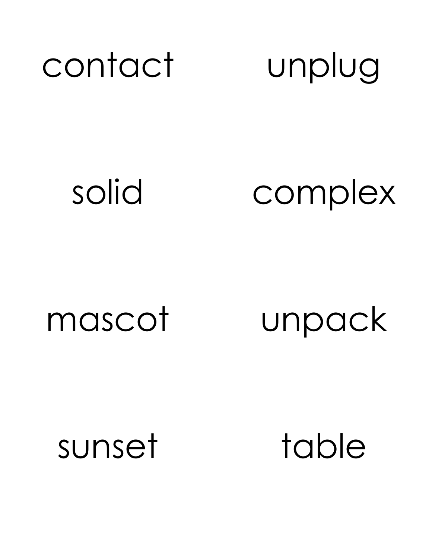## contact unplug

### solid complex

mascot unpack

sunset table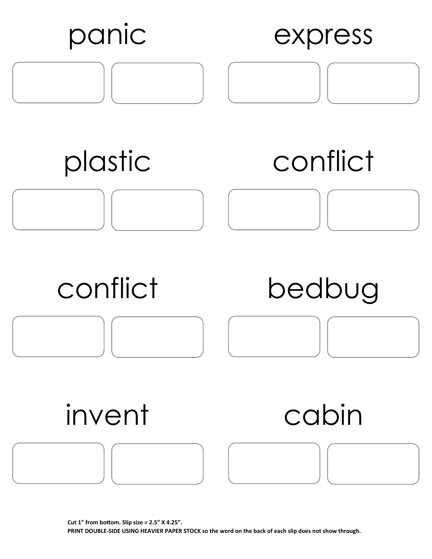![](_page_13_Figure_0.jpeg)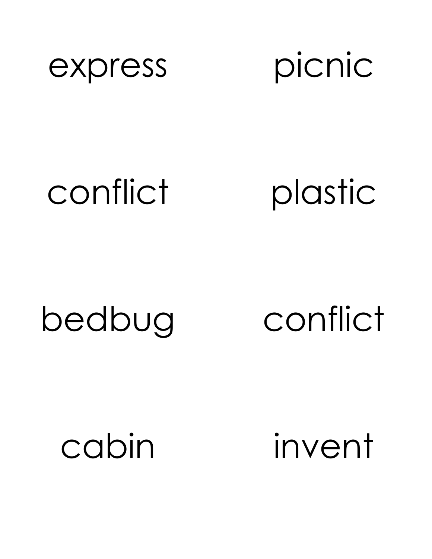![](_page_14_Picture_0.jpeg)

![](_page_14_Picture_1.jpeg)

### conflict plastic

### bedbug conflict

cabin invent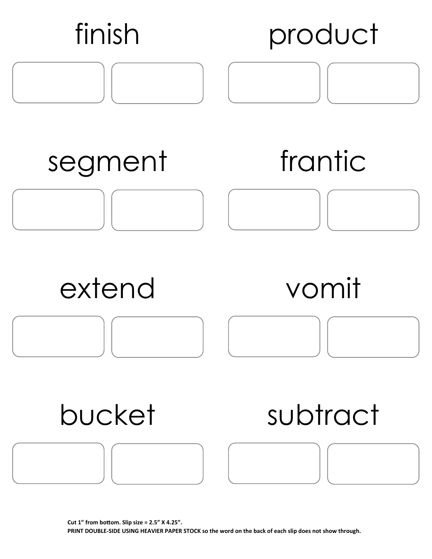![](_page_15_Figure_0.jpeg)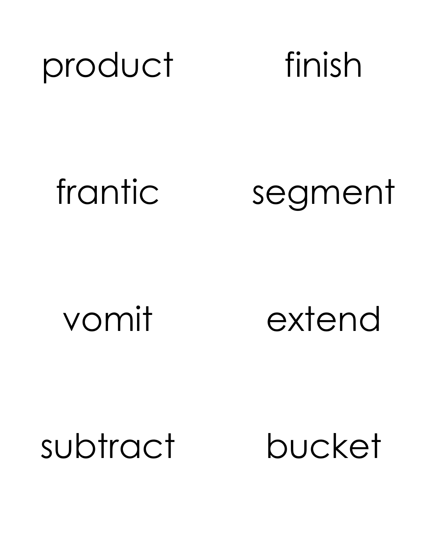![](_page_16_Picture_0.jpeg)

### frantic segment

vomit extend

subtract bucket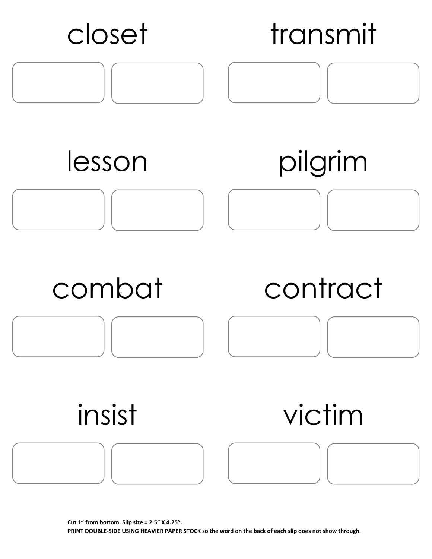![](_page_17_Figure_0.jpeg)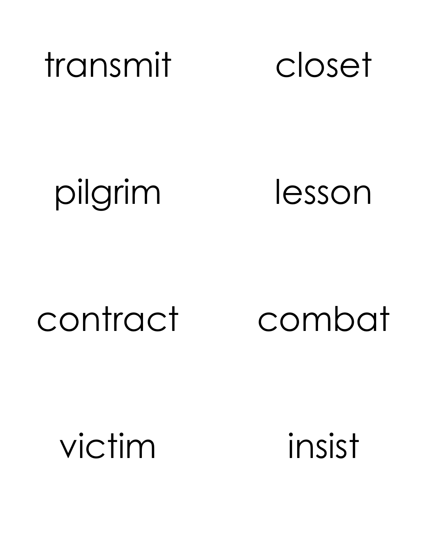![](_page_18_Picture_0.jpeg)

pilgrim lesson

### contract combat

victim insist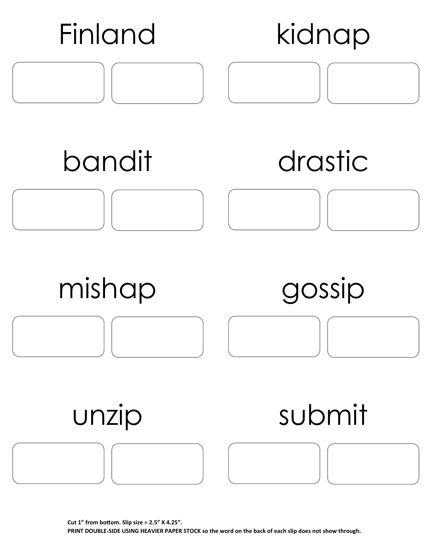![](_page_19_Figure_0.jpeg)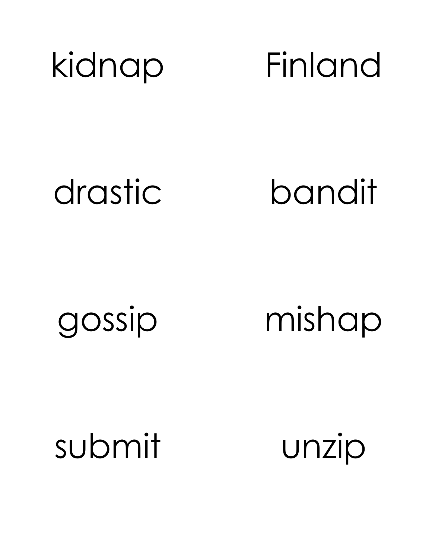![](_page_20_Picture_0.jpeg)

drastic bandit

gossip mishap

submit unzip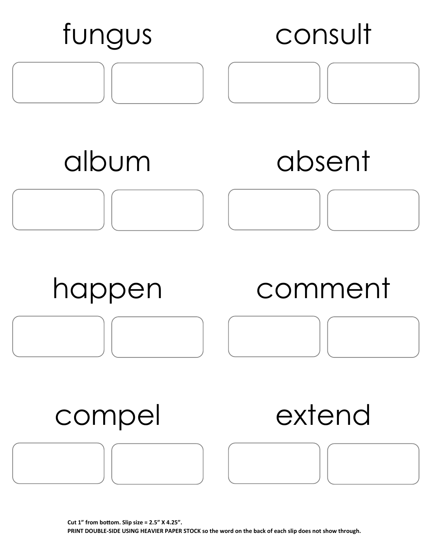![](_page_21_Figure_0.jpeg)